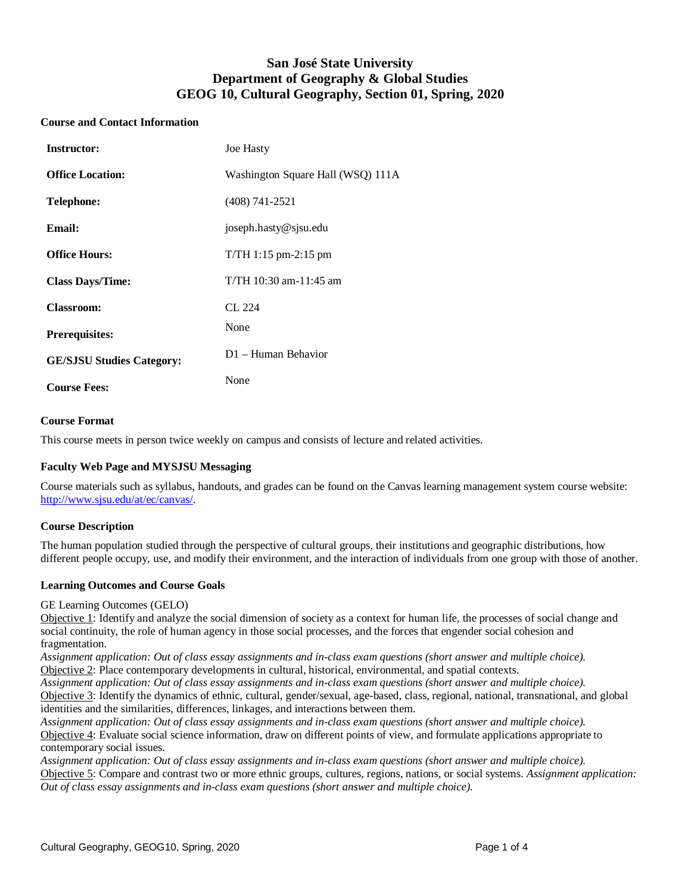# **San José State University Department of Geography & Global Studies GEOG 10, Cultural Geography, Section 01, Spring, 2020**

### **Course and Contact Information**

| <b>Instructor:</b>               | <b>Joe Hasty</b>                  |
|----------------------------------|-----------------------------------|
| <b>Office Location:</b>          | Washington Square Hall (WSQ) 111A |
| Telephone:                       | $(408)$ 741-2521                  |
| Email:                           | joseph.hasty@sjsu.edu             |
| <b>Office Hours:</b>             | $T/TH$ 1:15 pm-2:15 pm            |
| <b>Class Days/Time:</b>          | T/TH 10:30 am-11:45 am            |
| <b>Classroom:</b>                | CL 224                            |
| <b>Prerequisites:</b>            | None                              |
| <b>GE/SJSU Studies Category:</b> | D1 - Human Behavior               |
| <b>Course Fees:</b>              | None                              |

## **Course Format**

This course meets in person twice weekly on campus and consists of lecture and related activities.

## **Faculty Web Page and MYSJSU Messaging**

Course materials such as syllabus, handouts, and grades can be found on the Canvas learning management system course website: [http://www.sjsu.edu/at/ec/canvas/.](http://www.sjsu.edu/at/ec/canvas/)

#### **Course Description**

The human population studied through the perspective of cultural groups, their institutions and geographic distributions, how different people occupy, use, and modify their environment, and the interaction of individuals from one group with those of another.

#### **Learning Outcomes and Course Goals**

GE Learning Outcomes (GELO)

Objective 1: Identify and analyze the social dimension of society as a context for human life, the processes of social change and social continuity, the role of human agency in those social processes, and the forces that engender social cohesion and fragmentation.

*Assignment application: Out of class essay assignments and in-class exam questions (short answer and multiple choice).* Objective 2: Place contemporary developments in cultural, historical, environmental, and spatial contexts.

*Assignment application: Out of class essay assignments and in-class exam questions (short answer and multiple choice).* Objective 3: Identify the dynamics of ethnic, cultural, gender/sexual, age-based, class, regional, national, transnational, and global identities and the similarities, differences, linkages, and interactions between them.

*Assignment application: Out of class essay assignments and in-class exam questions (short answer and multiple choice).* Objective 4: Evaluate social science information, draw on different points of view, and formulate applications appropriate to contemporary social issues.

*Assignment application: Out of class essay assignments and in-class exam questions (short answer and multiple choice).* Objective 5: Compare and contrast two or more ethnic groups, cultures, regions, nations, or social systems. *Assignment application: Out of class essay assignments and in-class exam questions (short answer and multiple choice).*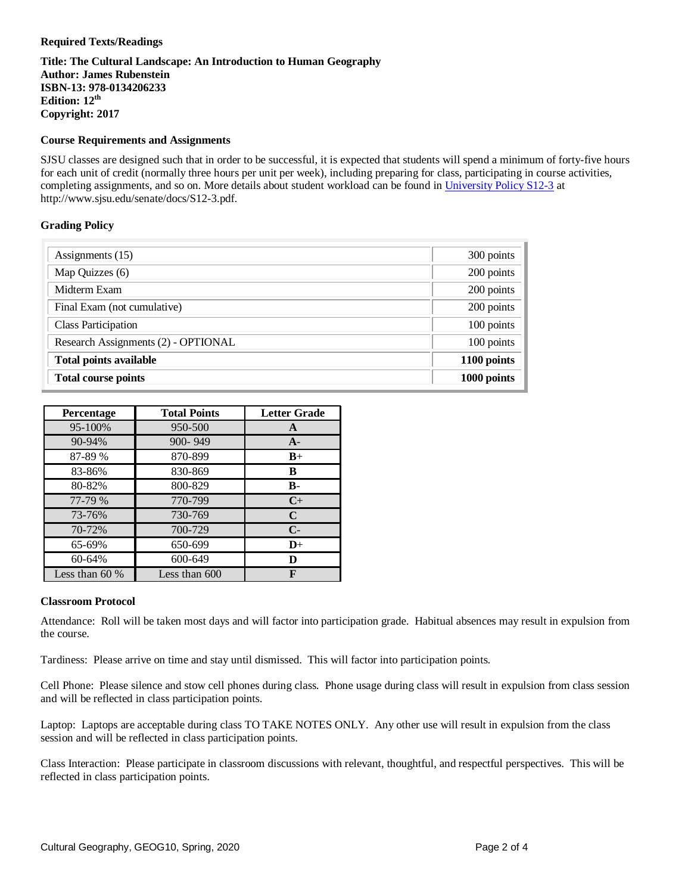## **Required Texts/Readings**

**Title: The Cultural Landscape: An Introduction to Human Geography Author: James Rubenstein ISBN-13: 978-0134206233 Edition: 12th Copyright: 2017**

#### **Course Requirements and Assignments**

SJSU classes are designed such that in order to be successful, it is expected that students will spend a minimum of forty-five hours for each unit of credit (normally three hours per unit per week), including preparing for class, participating in course activities, completing assignments, and so on. More details about student workload can be found in [University Policy S12-3](http://www.sjsu.edu/senate/docs/S12-3.pdf) at http://www.sjsu.edu/senate/docs/S12-3.pdf.

#### **Grading Policy**

| Assignments (15)                    | 300 points  |
|-------------------------------------|-------------|
| Map Quizzes (6)                     | 200 points  |
| Midterm Exam                        | 200 points  |
| Final Exam (not cumulative)         | 200 points  |
| <b>Class Participation</b>          | 100 points  |
| Research Assignments (2) - OPTIONAL | 100 points  |
| <b>Total points available</b>       | 1100 points |
| <b>Total course points</b>          | 1000 points |

| Percentage       | <b>Total Points</b> | <b>Letter Grade</b> |
|------------------|---------------------|---------------------|
| 95-100%          | 950-500             | A                   |
| 90-94%           | 900-949             | $A -$               |
| 87-89 %          | 870-899             | $B+$                |
| 83-86%           | 830-869             | B                   |
| 80-82%           | 800-829             | $\bf{B}$            |
| 77-79 %          | 770-799             | $C+$                |
| 73-76%           | 730-769             | C                   |
| 70-72%           | 700-729             | $C-$                |
| 65-69%           | 650-699             | $D+$                |
| 60-64%           | 600-649             | D                   |
| Less than $60\%$ | Less than 600       | F                   |

#### **Classroom Protocol**

Attendance: Roll will be taken most days and will factor into participation grade. Habitual absences may result in expulsion from the course.

Tardiness: Please arrive on time and stay until dismissed. This will factor into participation points.

Cell Phone: Please silence and stow cell phones during class. Phone usage during class will result in expulsion from class session and will be reflected in class participation points.

Laptop: Laptops are acceptable during class TO TAKE NOTES ONLY. Any other use will result in expulsion from the class session and will be reflected in class participation points.

Class Interaction: Please participate in classroom discussions with relevant, thoughtful, and respectful perspectives. This will be reflected in class participation points.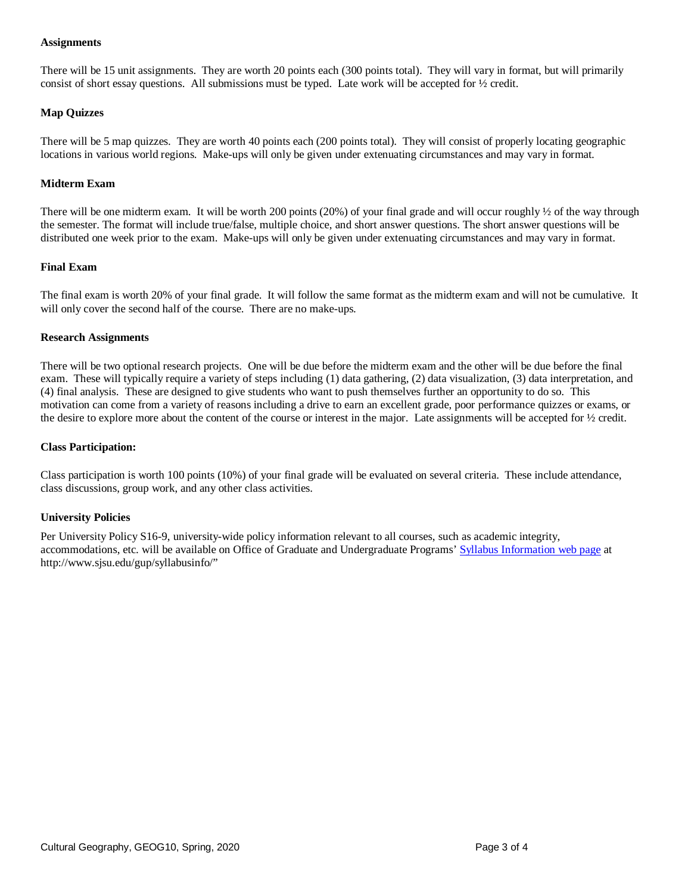#### **Assignments**

There will be 15 unit assignments. They are worth 20 points each (300 points total). They will vary in format, but will primarily consist of short essay questions. All submissions must be typed. Late work will be accepted for ½ credit.

## **Map Quizzes**

There will be 5 map quizzes. They are worth 40 points each (200 points total). They will consist of properly locating geographic locations in various world regions. Make-ups will only be given under extenuating circumstances and may vary in format.

## **Midterm Exam**

There will be one midterm exam. It will be worth 200 points  $(20%)$  of your final grade and will occur roughly  $\frac{1}{2}$  of the way through the semester. The format will include true/false, multiple choice, and short answer questions. The short answer questions will be distributed one week prior to the exam. Make-ups will only be given under extenuating circumstances and may vary in format.

### **Final Exam**

The final exam is worth 20% of your final grade. It will follow the same format as the midterm exam and will not be cumulative. It will only cover the second half of the course. There are no make-ups.

#### **Research Assignments**

There will be two optional research projects. One will be due before the midterm exam and the other will be due before the final exam. These will typically require a variety of steps including (1) data gathering, (2) data visualization, (3) data interpretation, and (4) final analysis. These are designed to give students who want to push themselves further an opportunity to do so. This motivation can come from a variety of reasons including a drive to earn an excellent grade, poor performance quizzes or exams, or the desire to explore more about the content of the course or interest in the major. Late assignments will be accepted for ½ credit.

#### **Class Participation:**

Class participation is worth 100 points (10%) of your final grade will be evaluated on several criteria. These include attendance, class discussions, group work, and any other class activities.

#### **University Policies**

Per University Policy S16-9, university-wide policy information relevant to all courses, such as academic integrity, accommodations, etc. will be available on Office of Graduate and Undergraduate Programs[' Syllabus Information](http://www.sjsu.edu/gup/syllabusinfo/) web page at http://www.sjsu.edu/gup/syllabusinfo/"